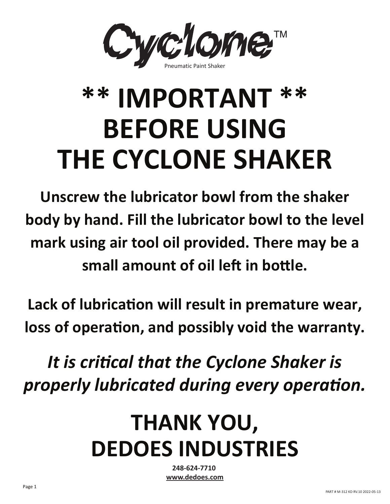

# **\*\* IMPORTANT \*\* BEFORE USING THE CYCLONE SHAKER**

**Unscrew the lubricator bowl from the shaker body by hand. Fill the lubricator bowl to the level mark using air tool oil provided. There may be a**  small amount of oil left in bottle.

Lack of lubrication will result in premature wear, loss of operation, and possibly void the warranty.

*It is critical that the Cyclone Shaker is properly lubricated during every operation.*

## **THANK YOU, DEDOES INDUSTRIES**

**248-624-7710 www.dedoes.com**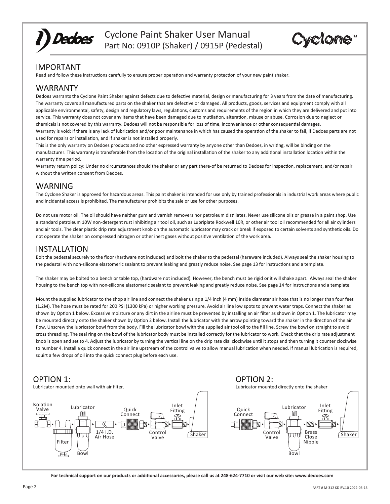

Cyclone Paint Shaker User Manual Part No: 0910P (Shaker) / 0915P (Pedestal)



## IMPORTANT

Read and follow these instructions carefully to ensure proper operation and warranty protection of your new paint shaker.

## WARRANTY

Dedoes warrants the Cyclone Paint Shaker against defects due to defective material, design or manufacturing for 3 years from the date of manufacturing. The warranty covers all manufactured parts on the shaker that are defective or damaged. All products, goods, services and equipment comply with all applicable environmental, safety, design and regulatory laws, regulations, customs and requirements of the region in which they are delivered and put into service. This warranty does not cover any items that have been damaged due to mutilation, alteration, misuse or abuse. Corrosion due to neglect or chemicals is not covered by this warranty. Dedoes will not be responsible for loss of time, inconvenience or other consequential damages. Warranty is void: if there is any lack of lubrication and/or poor maintenance in which has caused the operation of the shaker to fail, if Dedoes parts are not used for repairs or installation, and if shaker is not installed properly.

This is the only warranty on Dedoes products and no other expressed warranty by anyone other than Dedoes, in writing, will be binding on the manufacturer. This warranty is transferable from the location of the original installation of the shaker to any additional installation location within the warranty time period.

Warranty return policy: Under no circumstances should the shaker or any part there-of be returned to Dedoes for inspection, replacement, and/or repair without the written consent from Dedoes.

## WARNING

The Cyclone Shaker is approved for hazardous areas. This paint shaker is intended for use only by trained professionals in industrial work areas where public and incidental access is prohibited. The manufacturer prohibits the sale or use for other purposes.

Do not use motor oil. The oil should have neither gum and varnish removers nor petroleum distillates. Never use silicone oils or grease in a paint shop. Use a standard petroleum 10W non-detergent rust inhibiting air tool oil, such as Lubriplate Rockwell 10R, or other air tool oil recommended for all air cylinders and air tools. The clear plastic drip rate adjustment knob on the automatic lubricator may crack or break if exposed to certain solvents and synthetic oils. Do not operate the shaker on compressed nitrogen or other inert gases without positive ventilation of the work area.

## INSTALLATION

Bolt the pedestal securely to the floor (hardware not included) and bolt the shaker to the pedestal (hareware included). Always seal the shaker housing to the pedestal with non-silicone elastomeric sealant to prevent leaking and greatly reduce noise. See page 13 for instructions and a template.

The shaker may be bolted to a bench or table top, (hardware not included). However, the bench must be rigid or it will shake apart. Always seal the shaker housing to the bench top with non-silicone elastomeric sealant to prevent leaking and greatly reduce noise. See page 14 for instructions and a template.

Mount the supplied lubricator to the shop air line and connect the shaker using a 1/4 inch (4 mm) inside diameter air hose that is no longer than four feet (1.2M). The hose must be rated for 200 PSI (1300 kPa) or higher working pressure. Avoid air line low spots to prevent water traps. Connect the shaker as shown by Option 1 below. Excessive moisture or any dirt in the airline must be prevented by installing an air filter as shown in Option 1. The lubricator may be mounted directly onto the shaker shown by Option 2 below. Install the lubricator with the arrow pointing toward the shaker in the direction of the air flow. Unscrew the lubricator bowl from the body. Fill the lubricator bowl with the supplied air tool oil to the fill line. Screw the bowl on straight to avoid cross threading. The seal ring on the bowl of the lubricator body must be installed correctly for the lubricator to work. Check that the drip rate adjustment knob is open and set to 4. Adjust the lubricator by turning the vertical line on the drip rate dial clockwise until it stops and then turning it counter clockwise to number 4. Install a quick connect in the air line upstream of the control valve to allow manual lubrication when needed. If manual lubrication is required, squirt a few drops of oil into the quick connect plug before each use.

OPTION 2:

## OPTION 1:



**For technical support on our products or addi�onal accessories, please call us at 248-624-7710 or visit our web site: www.dedoes.com**

Shaker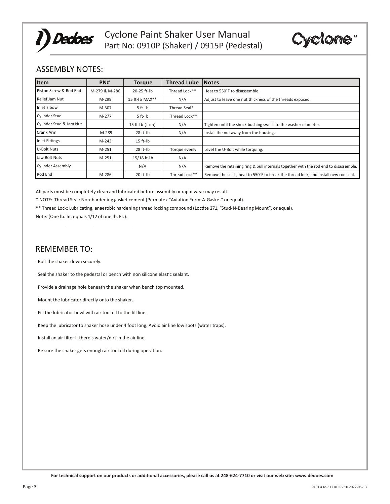



## ASSEMBLY NOTES:

| <b>Item</b>              | PN#           | <b>Torque</b>       | <b>Thread Lube</b> | <b>Notes</b>                                                                         |
|--------------------------|---------------|---------------------|--------------------|--------------------------------------------------------------------------------------|
| Piston Screw & Rod End   | M-279 & M-286 | $20 - 25$ ft-lb     | Thread Lock**      | Heat to 550°F to disassemble.                                                        |
| Relief Jam Nut           | M-299         | 15 ft-Ib MAX**      | N/A                | Adjust to leave one nut thickness of the threads exposed.                            |
| Inlet Elbow              | M-307         | $5$ ft- $1b$        | Thread Seal*       |                                                                                      |
| <b>Cylinder Stud</b>     | M-277         | $5$ ft- $1b$        | Thread Lock**      |                                                                                      |
| Cylinder Stud & Jam Nut  |               | $15$ ft- $1b$ (Jam) | N/A                | Tighten until the shock bushing swells to the washer diameter.                       |
| Crank Arm                | M-289         | $28$ ft- $1b$       | N/A                | Install the nut away from the housing.                                               |
| <b>Inlet Fittings</b>    | $M-243$       | $15$ ft- $1b$       |                    |                                                                                      |
| <b>U-Bolt Nuts</b>       | M-251         | $28$ ft- $1b$       | Torque evenly      | Level the U-Bolt while torquing.                                                     |
| Jaw Bolt Nuts            | M-251         | $15/18$ ft-Ib       | N/A                |                                                                                      |
| <b>Cylinder Assembly</b> |               | N/A                 | N/A                | Remove the retaining ring & pull internals together with the rod end to disassemble. |
| Rod End                  | M-286         | $20$ ft- $1b$       | Thread Lock**      | Remove the seals, heat to 550°F to break the thread lock, and install new rod seal.  |

All parts must be completely clean and lubricated before assembly or rapid wear may result.

\* NOTE: Thread Seal: Non-hardening gasket cement (Permatex "Aviation Form-A-Gasket" or equal).

\*\* Thread Lock: Lubricating, anaerobic hardening thread locking compound (Loctite 271, "Stud-N-Bearing Mount", or equal).

Note: (One lb. In. equals 1/12 of one lb. Ft.).

## REMEMBER TO:

· Bolt the shaker down securely.

· Seal the shaker to the pedestal or bench with non silicone elas�c sealant.

· Provide a drainage hole beneath the shaker when bench top mounted.

- · Mount the lubricator directly onto the shaker.
- · Fill the lubricator bowl with air tool oil to the fill line.
- · Keep the lubricator to shaker hose under 4 foot long. Avoid air line low spots (water traps).
- · Install an air filter if there's water/dirt in the air line.
- · Be sure the shaker gets enough air tool oil during opera�on.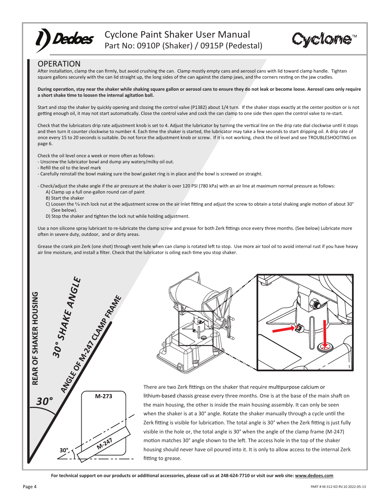

Cyclone Paint Shaker User Manual Part No: 0910P (Shaker) / 0915P (Pedestal)



### OPERATION

After installation, clamp the can firmly, but avoid crushing the can. Clamp mostly empty cans and aerosol cans with lid toward clamp handle. Tighten square gallons securely with the can lid straight up, the long sides of the can against the clamp jaws, and the corners resting on the jaw cradles.

**During opera�on, stay near the shaker while shaking square gallon or aerosol cans to ensure they do not leak or become loose. Aerosol cans only require**  a short shake time to loosen the internal agitation ball.

Start and stop the shaker by quickly opening and closing the control valve (P1382) about 1/4 turn. If the shaker stops exactly at the center position or is not getting enough oil, it may not start automatically. Close the control valve and cock the can clamp to one side then open the control valve to re-start.

Check that the lubricators drip rate adjustment knob is set to 4. Adjust the lubricator by turning the vertical line on the drip rate dial clockwise until it stops and then turn it counter clockwise to number 4. Each time the shaker is started, the lubricator may take a few seconds to start dripping oil. A drip rate of once every 15 to 20 seconds is suitable. Do not force the adjustment knob or screw. If it is not working, check the oil level and see TROUBLESHOOTING on page 6.

Check the oil level once a week or more often as follows:

- Unscrew the lubricator bowl and dump any watery/milky oil out.
- Refill the oil to the level mark
- Carefully reinstall the bowl making sure the bowl gasket ring is in place and the bowl is screwed on straight.
- Check/adjust the shake angle if the air pressure at the shaker is over 120 PSI (780 kPa) with an air line at maximum normal pressure as follows: A) Clamp up a full one-gallon round can of paint
	- B) Start the shaker
	- C) Loosen the  $\frac{3}{8}$  inch lock nut at the adjustment screw on the air inlet fitting and adjust the screw to obtain a total shaking angle motion of about 30° (See below).
	- D) Stop the shaker and tighten the lock nut while holding adjustment.

Use a non silicone spray lubricant to re-lubricate the clamp screw and grease for both Zerk fittings once every three months. (See below) Lubricate more often in severe duty, outdoor, and or dirty areas.

Grease the crank pin Zerk (one shot) through vent hole when can clamp is rotated left to stop. Use more air tool oil to avoid internal rust if you have heavy air line moisture, and install a filter. Check that the lubricator is oiling each time you stop shaker.





There are two Zerk fittings on the shaker that require multipurpose calcium or lithium-based chassis grease every three months. One is at the base of the main shaft on the main housing, the other is inside the main housing assembly. It can only be seen when the shaker is at a 30° angle. Rotate the shaker manually through a cycle until the Zerk fitting is visible for lubrication. The total angle is 30° when the Zerk fitting is just fully visible in the hole or, the total angle is 30° when the angle of the clamp frame (M-247) motion matches 30° angle shown to the left. The access hole in the top of the shaker housing should never have oil poured into it. It is only to allow access to the internal Zerk fitting to grease.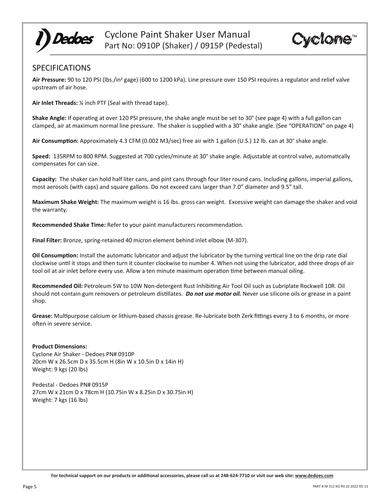

Cyclome<sup>®</sup>

## SPECIFICATIONS

**Air Pressure:** 90 to 120 PSI (lbs./in2 gage) (600 to 1200 kPa). Line pressure over 150 PSI requires a regulator and relief valve upstream of air hose.

**Air Inlet Threads:** ¼ inch PTF (Seal with thread tape).

**Shake Angle:** If operating at over 120 PSI pressure, the shake angle must be set to 30° (see page 4) with a full gallon can clamped, air at maximum normal line pressure. The shaker is supplied with a 30° shake angle. (See "OPERATION" on page 4)

Air **Consumption:** Approximately 4.3 CFM (0.002 M3/sec) free air with 1 gallon (U.S.) 12 lb. can at 30° shake angle.

**Speed:** 135RPM to 800 RPM. Suggested at 700 cycles/minute at 30° shake angle. Adjustable at control valve, automa�cally compensates for can size.

**Capacity:** The shaker can hold half liter cans, and pint cans through four liter round cans. Including gallons, imperial gallons, most aerosols (with caps) and square gallons. Do not exceed cans larger than 7.0" diameter and 9.5" tall.

**Maximum Shake Weight:** The maximum weight is 16 lbs. gross can weight. Excessive weight can damage the shaker and void the warranty.

**Recommended Shake Time:** Refer to your paint manufacturers recommenda�on.

**Final Filter:** Bronze, spring-retained 40 micron element behind inlet elbow (M-307).

**Oil Consumption:** Install the automatic lubricator and adjust the lubricator by the turning vertical line on the drip rate dial clockwise un�l it stops and then turn it counter clockwise to number 4. When not using the lubricator, add three drops of air tool oil at air inlet before every use. Allow a ten minute maximum operation time between manual oiling.

Recommended Oil: Petroleum 5W to 10W Non-detergent Rust Inhibiting Air Tool Oil such as Lubriplate Rockwell 10R. Oil should not contain gum removers or petroleum dis�llates. *Do not use motor oil.* Never use silicone oils or grease in a paint shop.

Grease: Multipurpose calcium or lithium-based chassis grease. Re-lubricate both Zerk fittings every 3 to 6 months, or more often in severe service.

#### **Product Dimensions:**

Cyclone Air Shaker - Dedoes PN# 0910P 20cm W x 26.5cm D x 35.5cm H (8in W x 10.5in D x 14in H) Weight: 9 kgs (20 lbs)

Pedestal - Dedoes PN# 0915P 27cm W x 21cm D x 78cm H (10.75in W x 8.25in D x 30.75in H) Weight: 7 kgs (16 lbs)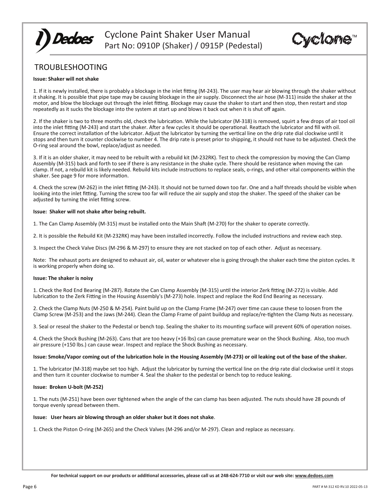

Cyclone™

## TROUBLESHOOTING

#### **Issue: Shaker will not shake**

1. If it is newly installed, there is probably a blockage in the inlet fitting (M-243). The user may hear air blowing through the shaker without it shaking. It is possible that pipe tape may be causing blockage in the air supply. Disconnect the air hose (M-311) inside the shaker at the motor, and blow the blockage out through the inlet fitting. Blockage may cause the shaker to start and then stop, then restart and stop repeatedly as it sucks the blockage into the system at start up and blows it back out when it is shut off again.

2. If the shaker is two to three months old, check the lubrication. While the lubricator (M-318) is removed, squirt a few drops of air tool oil into the inlet fitting (M-243) and start the shaker. After a few cycles it should be operational. Reattach the lubricator and fill with oil. Ensure the correct installation of the lubricator. Adjust the lubricator by turning the vertical line on the drip rate dial clockwise until it stops and then turn it counter clockwise to number 4. The drip rate is preset prior to shipping, it should not have to be adjusted. Check the O-ring seal around the bowl, replace/adjust as needed.

3. If it is an older shaker, it may need to be rebuilt with a rebuild kit (M-232RK). Test to check the compression by moving the Can Clamp Assembly (M-315) back and forth to see if there is any resistance in the shake cycle. There should be resistance when moving the can clamp. If not, a rebuild kit is likely needed. Rebuild kits include instructions to replace seals, o-rings, and other vital components within the shaker. See page 9 for more information.

4. Check the screw (M-262) in the inlet fitting (M-243). It should not be turned down too far. One and a half threads should be visible when looking into the inlet fitting. Turning the screw too far will reduce the air supply and stop the shaker. The speed of the shaker can be adjusted by turning the inlet fitting screw.

#### **Issue: Shaker will not shake a�er being rebuilt.**

1. The Can Clamp Assembly (M-315) must be installed onto the Main Shaft (M-270) for the shaker to operate correctly.

2. It is possible the Rebuild Kit (M-232RK) may have been installed incorrectly. Follow the included instruc�ons and review each step.

3. Inspect the Check Valve Discs (M-296 & M-297) to ensure they are not stacked on top of each other. Adjust as necessary.

Note: The exhaust ports are designed to exhaust air, oil, water or whatever else is going through the shaker each time the piston cycles. It is working properly when doing so.

#### **Issue: The shaker is noisy**

1. Check the Rod End Bearing (M-287). Rotate the Can Clamp Assembly (M-315) until the interior Zerk fitting (M-272) is visible. Add lubrication to the Zerk Fitting in the Housing Assembly's (M-273) hole. Inspect and replace the Rod End Bearing as necessary.

2. Check the Clamp Nuts (M-250 & M-254). Paint build up on the Clamp Frame (M-247) over time can cause these to loosen from the Clamp Screw (M-253) and the Jaws (M-244). Clean the Clamp Frame of paint buildup and replace/re-�ghten the Clamp Nuts as necessary.

3. Seal or reseal the shaker to the Pedestal or bench top. Sealing the shaker to its mounting surface will prevent 60% of operation noises.

4. Check the Shock Bushing (M-263). Cans that are too heavy (+16 lbs) can cause premature wear on the Shock Bushing. Also, too much air pressure (+150 lbs.) can cause wear. Inspect and replace the Shock Bushing as necessary.

#### Issue: Smoke/Vapor coming out of the lubrication hole in the Housing Assembly (M-273) or oil leaking out of the base of the shaker.

1. The lubricator (M-318) maybe set too high. Adjust the lubricator by turning the vertical line on the drip rate dial clockwise until it stops and then turn it counter clockwise to number 4. Seal the shaker to the pedestal or bench top to reduce leaking.

#### **Issue: Broken U-bolt (M-252)**

1. The nuts (M-251) have been over �ghtened when the angle of the can clamp has been adjusted. The nuts should have 28 pounds of torque evenly spread between them.

#### **Issue: User hears air blowing through an older shaker but it does not shake**.

1. Check the Piston O-ring (M-265) and the Check Valves (M-296 and/or M-297). Clean and replace as necessary.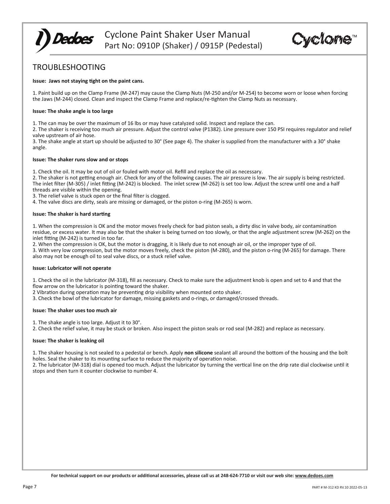Cyclone™

## TROUBLESHOOTING

**Dedoes** 

#### **Issue: Jaws not staying �ght on the paint cans.**

1. Paint build up on the Clamp Frame (M-247) may cause the Clamp Nuts (M-250 and/or M-254) to become worn or loose when forcing the Jaws (M-244) closed. Clean and inspect the Clamp Frame and replace/re-�ghten the Clamp Nuts as necessary.

#### **Issue: The shake angle is too large**

1. The can may be over the maximum of 16 lbs or may have catalyzed solid. Inspect and replace the can.

2. The shaker is receiving too much air pressure. Adjust the control valve (P1382). Line pressure over 150 PSI requires regulator and relief valve upstream of air hose.

3. The shake angle at start up should be adjusted to 30° (See page 4). The shaker is supplied from the manufacturer with a 30° shake angle.

#### **Issue: The shaker runs slow and or stops**

1. Check the oil. It may be out of oil or fouled with motor oil. Refill and replace the oil as necessary.

2. The shaker is not getting enough air. Check for any of the following causes. The air pressure is low. The air supply is being restricted. The inlet filter (M-305) / inlet fitting (M-242) is blocked. The inlet screw (M-262) is set too low. Adjust the screw until one and a half threads are visible within the opening.

3. The relief valve is stuck open or the final filter is clogged.

4. The valve discs are dirty, seals are missing or damaged, or the piston o-ring (M-265) is worn.

#### **Issue: The shaker is hard starting**

1. When the compression is OK and the motor moves freely check for bad piston seals, a dirty disc in valve body, air contamination residue, or excess water. It may also be that the shaker is being turned on too slowly, or that the angle adjustment screw (M-262) on the inlet fitting (M-242) is turned in too far.

2. When the compression is OK, but the motor is dragging, it is likely due to not enough air oil, or the improper type of oil. 3. With very low compression, but the motor moves freely, check the piston (M-280), and the piston o-ring (M-265) for damage. There also may not be enough oil to seal valve discs, or a stuck relief valve.

#### **Issue: Lubricator will not operate**

1. Check the oil in the lubricator (M-318), fill as necessary. Check to make sure the adjustment knob is open and set to 4 and that the flow arrow on the lubricator is pointing toward the shaker.

2 Vibration during operation may be preventing drip visibility when mounted onto shaker.

3. Check the bowl of the lubricator for damage, missing gaskets and o-rings, or damaged/crossed threads.

#### **Issue: The shaker uses too much air**

1. The shake angle is too large. Adjust it to 30°.

2. Check the relief valve, it may be stuck or broken. Also inspect the piston seals or rod seal (M-282) and replace as necessary.

#### **Issue: The shaker is leaking oil**

1. The shaker housing is not sealed to a pedestal or bench. Apply **non silicone** sealant all around the bottom of the housing and the bolt holes. Seal the shaker to its mounting surface to reduce the majority of operation noise.

2. The lubricator (M-318) dial is opened too much. Adjust the lubricator by turning the vertical line on the drip rate dial clockwise until it stops and then turn it counter clockwise to number 4.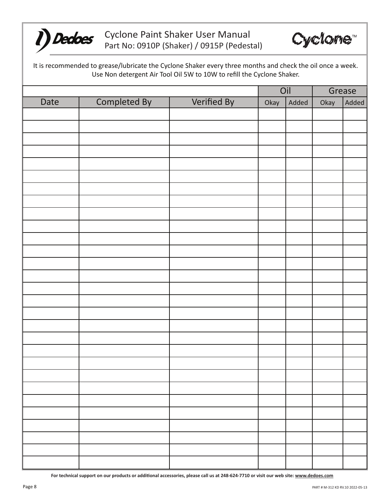



It is recommended to grease/lubricate the Cyclone Shaker every three months and check the oil once a week. Use Non detergent Air Tool Oil 5W to 10W to refill the Cyclone Shaker.

|      |              |             |      | Oil   |      | Grease |  |
|------|--------------|-------------|------|-------|------|--------|--|
| Date | Completed By | Verified By | Okay | Added | Okay | Added  |  |
|      |              |             |      |       |      |        |  |
|      |              |             |      |       |      |        |  |
|      |              |             |      |       |      |        |  |
|      |              |             |      |       |      |        |  |
|      |              |             |      |       |      |        |  |
|      |              |             |      |       |      |        |  |
|      |              |             |      |       |      |        |  |
|      |              |             |      |       |      |        |  |
|      |              |             |      |       |      |        |  |
|      |              |             |      |       |      |        |  |
|      |              |             |      |       |      |        |  |
|      |              |             |      |       |      |        |  |
|      |              |             |      |       |      |        |  |
|      |              |             |      |       |      |        |  |
|      |              |             |      |       |      |        |  |
|      |              |             |      |       |      |        |  |
|      |              |             |      |       |      |        |  |
|      |              |             |      |       |      |        |  |
|      |              |             |      |       |      |        |  |
|      |              |             |      |       |      |        |  |
|      |              |             |      |       |      |        |  |
|      |              |             |      |       |      |        |  |
|      |              |             |      |       |      |        |  |
|      |              |             |      |       |      |        |  |
|      |              |             |      |       |      |        |  |
|      |              |             |      |       |      |        |  |
|      |              |             |      |       |      |        |  |
|      |              |             |      |       |      |        |  |
|      |              |             |      |       |      |        |  |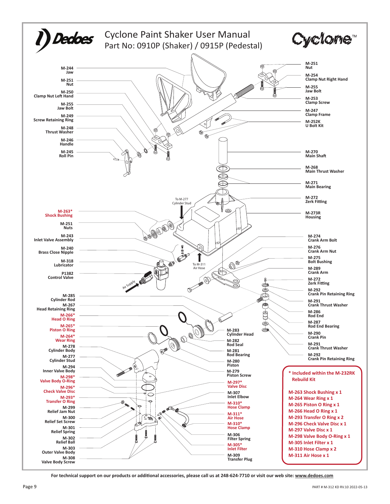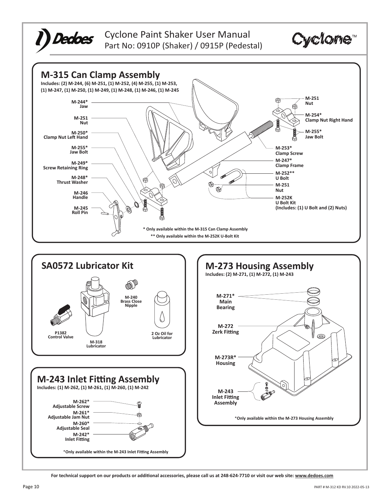

Cyclone Paint Shaker User Manual Part No: 0910P (Shaker) / 0915P (Pedestal)



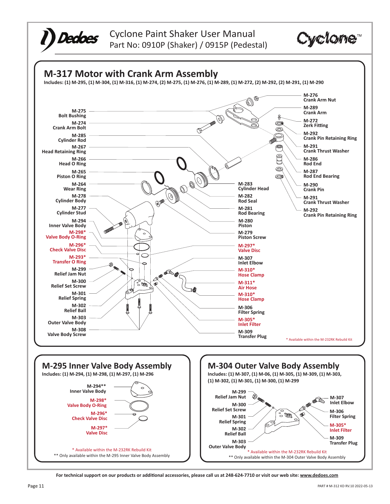



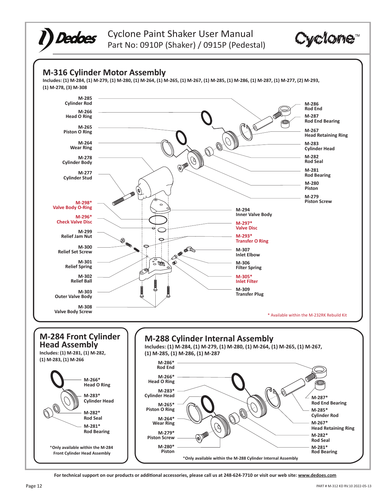



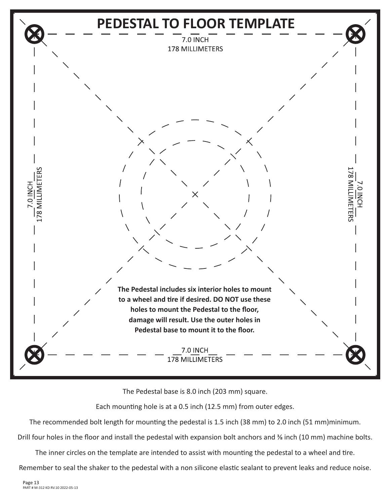

The Pedestal base is 8.0 inch (203 mm) square.

Each mounting hole is at a 0.5 inch (12.5 mm) from outer edges.

The recommended bolt length for mounting the pedestal is 1.5 inch (38 mm) to 2.0 inch (51 mm)minimum.

Drill four holes in the floor and install the pedestal with expansion bolt anchors and % inch (10 mm) machine bolts.

The inner circles on the template are intended to assist with mounting the pedestal to a wheel and tire.

Remember to seal the shaker to the pedestal with a non silicone elastic sealant to prevent leaks and reduce noise.